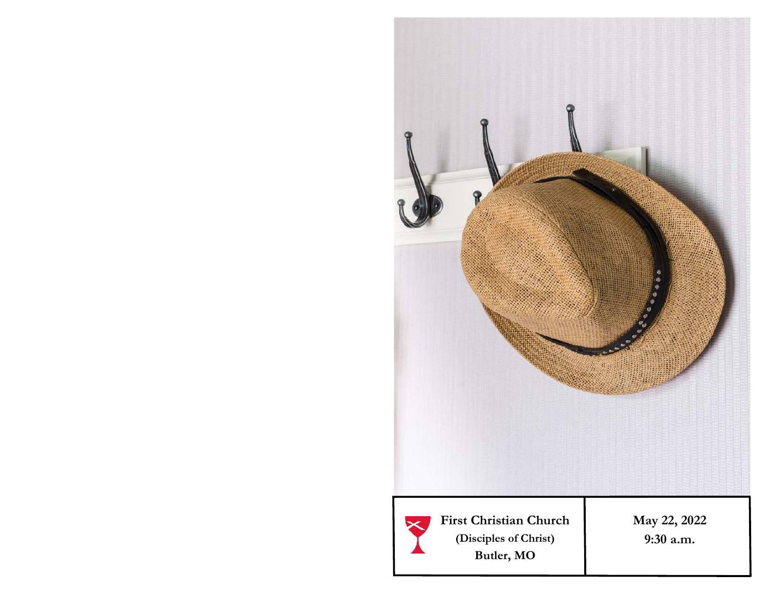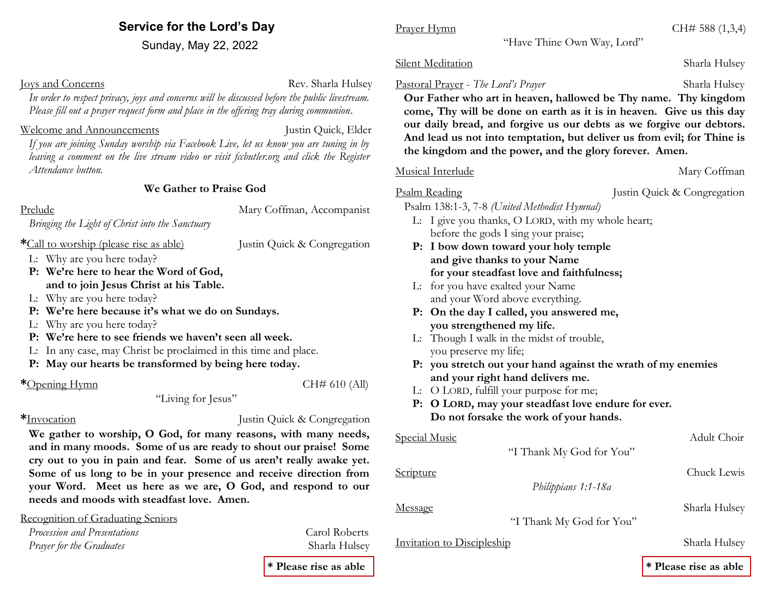# **Service for the Lord's Day**

Sunday, May 22, 2022

**Ioys and Concerns** Rev. Sharla Hulsey

*In order to respect privacy, joys and concerns will be discussed before the public livestream. Please fill out a prayer request form and place in the offering tray during communion*.

### Welcome and Announcements **Announcements** Justin Quick, Elder

*If you are joining Sunday worship via Facebook Live, let us know you are tuning in by leaving a comment on the live stream video or visit fccbutler.org and click the Register Attendance button.*

## **We Gather to Praise God**

### Prelude Mary Coffman, Accompanist

*Bringing the Light of Christ into the Sanctuary*

- **\***Call to worship (please rise as able) Justin Quick & Congregation
- L: Why are you here today?
- **P: We're here to hear the Word of God, and to join Jesus Christ at his Table.**
- L: Why are you here today?
- **P: We're here because it's what we do on Sundays.**
- L: Why are you here today?
- **P: We're here to see friends we haven't seen all week.**
- L: In any case, may Christ be proclaimed in this time and place.
- **P: May our hearts be transformed by being here today.**

\*Opening Hymn CH# 610 (All)

"Living for Jesus"

**\***Invocation Justin Quick & Congregation

**We gather to worship, O God, for many reasons, with many needs, and in many moods. Some of us are ready to shout our praise! Some cry out to you in pain and fear. Some of us aren't really awake yet. Some of us long to be in your presence and receive direction from your Word. Meet us here as we are, O God, and respond to our needs and moods with steadfast love. Amen.** 

Recognition of Graduating Seniors

*Procession and Presentations*  $\qquad \qquad$  Carol Roberts *Prayer for the Graduates* Sharla Hulsey

"Have Thine Own Way, Lord"

## Silent Meditation Sharla Hulsey

## Pastoral Prayer - *The Lord's Prayer* Sharla Hulsey

 **Our Father who art in heaven, hallowed be Thy name. Thy kingdom come, Thy will be done on earth as it is in heaven. Give us this day our daily bread, and forgive us our debts as we forgive our debtors. And lead us not into temptation, but deliver us from evil; for Thine is the kingdom and the power, and the glory forever. Amen.**

## Musical Interlude Mary Coffman

Psalm Reading Justin Quick & Congregation

Psalm 138:1-3, 7-8 *(United Methodist Hymnal)* 

- L: I give you thanks, O LORD, with my whole heart; before the gods I sing your praise;
- **P: I bow down toward your holy temple and give thanks to your Name for your steadfast love and faithfulness;**
- L: for you have exalted your Name and your Word above everything.
- **P: On the day I called, you answered me, you strengthened my life.**
- L: Though I walk in the midst of trouble, you preserve my life;
- **P: you stretch out your hand against the wrath of my enemies and your right hand delivers me.**
- L: O LORD, fulfill your purpose for me;
- **P: O LORD, may your steadfast love endure for ever. Do not forsake the work of your hands.**

| <b>Special Music</b>       | "I Thank My God for You" | Adult Choir   |
|----------------------------|--------------------------|---------------|
|                            |                          |               |
| Scripture                  |                          | Chuck Lewis   |
|                            | Philippians 1:1-18a      |               |
|                            |                          |               |
| Message                    |                          | Sharla Hulsey |
|                            | "I Thank My God for You" |               |
| Invitation to Discipleship |                          | Sharla Hulsey |
|                            |                          |               |

**\* Please rise as able \* Please rise as able**

**Prayer Hymn** CH# 588 (1,3,4)